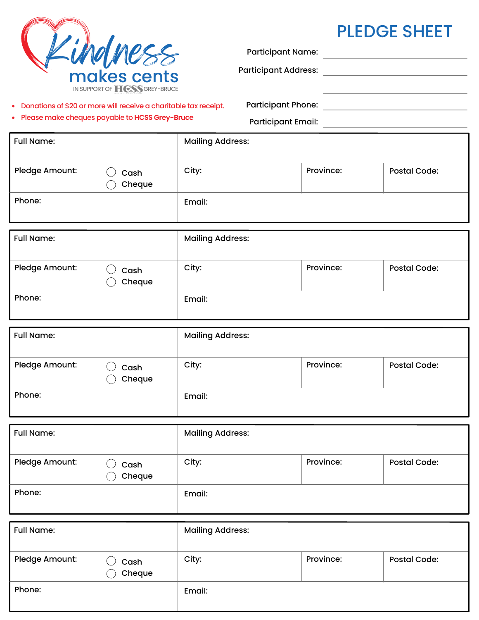|                                                                                                                        | Lihdmess<br>IN SUPPORT OF <b>HCSS</b> GREY-BRUCE |                         | <b>Participant Name:</b><br><b>Participant Address:</b> |                     | <b>PLEDGE SHEET</b><br><u> 1980 - Jan Barbara Barbara, manazarta da kasas da kasas da kasas da kasas da kasas da kasas da kasas da kasa</u> |  |
|------------------------------------------------------------------------------------------------------------------------|--------------------------------------------------|-------------------------|---------------------------------------------------------|---------------------|---------------------------------------------------------------------------------------------------------------------------------------------|--|
| • Donations of \$20 or more will receive a charitable tax receipt.<br>• Please make cheques payable to HCSS Grey-Bruce |                                                  |                         |                                                         |                     |                                                                                                                                             |  |
| <b>Full Name:</b>                                                                                                      |                                                  | <b>Mailing Address:</b> |                                                         |                     |                                                                                                                                             |  |
| Pledge Amount:                                                                                                         | Cash<br>Cheque                                   | City:<br>Province:      |                                                         | <b>Postal Code:</b> |                                                                                                                                             |  |
| Phone:                                                                                                                 |                                                  | Email:                  |                                                         |                     |                                                                                                                                             |  |
| <b>Full Name:</b>                                                                                                      |                                                  | <b>Mailing Address:</b> |                                                         |                     |                                                                                                                                             |  |
| Pledge Amount:                                                                                                         | Cash<br>Cheque                                   | City:                   | Province:                                               |                     | <b>Postal Code:</b>                                                                                                                         |  |
| Phone:                                                                                                                 |                                                  | Email:                  |                                                         |                     |                                                                                                                                             |  |
| <b>Full Name:</b>                                                                                                      |                                                  | <b>Mailing Address:</b> |                                                         |                     |                                                                                                                                             |  |
| Pledge Amount:                                                                                                         | $\bigcirc$ cash<br>Cheque                        | City:                   | Province:                                               |                     | <b>Postal Code:</b>                                                                                                                         |  |
| Phone:                                                                                                                 |                                                  | Email:                  |                                                         |                     |                                                                                                                                             |  |
| <b>Full Name:</b>                                                                                                      |                                                  | <b>Mailing Address:</b> |                                                         |                     |                                                                                                                                             |  |
| Pledge Amount:                                                                                                         | Cash<br>Cheque                                   | City:                   | Province:                                               |                     | <b>Postal Code:</b>                                                                                                                         |  |
| Phone:                                                                                                                 |                                                  | Email:                  |                                                         |                     |                                                                                                                                             |  |
| <b>Full Name:</b>                                                                                                      |                                                  | <b>Mailing Address:</b> |                                                         |                     |                                                                                                                                             |  |
| Pledge Amount:                                                                                                         | Cash<br>Cheque                                   | City:                   | Province:                                               |                     | <b>Postal Code:</b>                                                                                                                         |  |
| Phone:                                                                                                                 |                                                  | Email:                  |                                                         |                     |                                                                                                                                             |  |